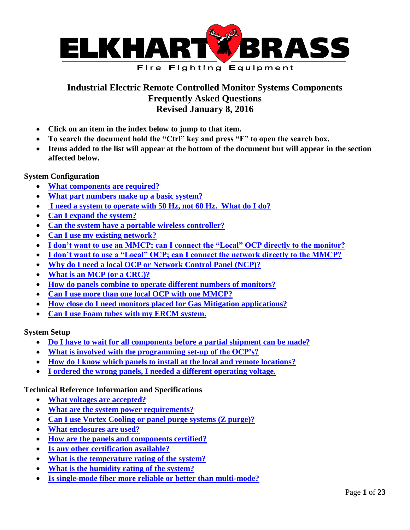

# <span id="page-0-0"></span>**Industrial Electric Remote Controlled Monitor Systems Components Frequently Asked Questions Revised January 8, 2016**

- **Click on an item in the index below to jump to that item.**
- **To search the document hold the "Ctrl" key and press "F" to open the search box.**
- **Items added to the list will appear at the bottom of the document but will appear in the section affected below.**

**System Configuration**

- **[What components are required?](#page-3-0)**
- **[What part numbers make up a basic system?](#page-3-1)**
- **[I need a system to operate with 50 Hz, not 60 Hz. What do I do?](#page-3-2)**
- **[Can I expand the system?](#page-5-0)**
- **[Can the system have a portable wireless controller?](#page-6-0)**
- **[Can I use my existing network?](#page-8-0)**
- **[I don't want to use an MMCP; can I connect the "Local" OCP directly to the monitor?](#page-9-0)**
- **I don't want to use a "Local" OCP; can I connect the network directly to the MMCP?**
- **[Why do I need a local OCP or Network Control Panel \(NCP\)?](#page-9-1)**
- **[What is an MCP](#page-9-2) (or a CRC)?**
- **[How do panels combine to operate different numbers of monitors?](#page-11-0)**
- **[Can I use more than one local OCP with one MMCP?](#page-20-0)**
- **[How close do I need monitors placed for Gas Mitigation applications?](#page-18-0)**
- **[Can I use Foam tubes with my ERCM system.](#page-21-0)**

**System Setup**

- **[Do I have to wait for all components before a partial shipment can be made?](#page-6-1)**
- **[What is involved with the programming set-up of the OCP's?](#page-10-0)**
- **[How do I know which panels to install at the local and remote locations?](#page-11-1)**
- **[I ordered the wrong panels, I needed a different operating voltage.](#page-3-3)**

# **Technical Reference Information and Specifications**

- **[What voltages are accepted?](#page-3-4)**
- **[What are the system power requirements?](#page-3-5)**
- **[Can I use Vortex Cooling or panel purge systems \(Z purge\)?](#page-17-0)**
- **[What enclosures are used?](#page-4-0)**
- **[How are the panels and components certified?](#page-5-1)**
- **[Is any other certification available?](#page-5-2)**
- **[What is the temperature rating of the system?](#page-15-0)**
- **[What is the humidity rating of the system?](#page-16-0)**
- **[Is single-mode fiber more reliable or better than multi-mode?](#page-8-1)**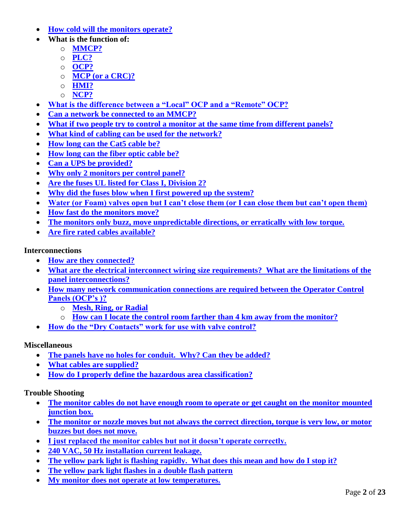- **[How cold will the monitors operate?](#page-20-0)**
- **What is the function of:**
	- o **[MMCP?](#page-8-2)**
	- o **[PLC?](#page-9-3)**
	- o **[OCP?](#page-9-4)**
	- o **MCP [\(or a CRC\)?](#page-9-2)**
	- o **[HMI?](#page-11-2)**
	- o **[NCP?](#page-9-1)**
- **[What is the difference between a "Local" OCP and a "Remote" OCP?](#page-11-1)**
- **[Can a network be connected to an MMCP?](#page-8-3)**
- **[What if two people try to control a monitor at the same time from different panels?](#page-10-1)**
- **[What kind of cabling can be used for the network?](#page-7-0)**
- **[How long can the Cat5](#page-22-0) cable be?**
- **[How long can the fiber optic cable be?](#page-8-4)**
- **[Can a UPS be provided?](#page-12-0)**
- **[Why only 2 monitors per control panel?](#page-12-1)**
- **Are [the fuses UL listed for Class I, Division 2?](#page-13-0)**
- **[Why did the fuses blow when I first powered up the system?](#page-13-1)**
- **[Water \(or Foam\) valves open but I can't close them \(or I can close them but can't open them\)](#page-13-2)**
- **[How fast do the monitors move?](#page-16-1)**
- **[The monitors only buzz, move unpredictable directions, or erratically with low torque.](#page-13-3)**
- **[Are fire rated cables available?](#page-19-0)**

# **Interconnections**

- **[How are they connected?](#page-4-1)**
- **[What are the electrical interconnect wiring size requirements? What are the limitations of the](#page-4-2)  [panel interconnections?](#page-4-2)**
- **[How many network communication connections are required between the Operator Control](#page-6-2)  [Panels \(OCP's \)?](#page-6-2)**
	- o **[Mesh, Ring, or Radial](#page-7-1)**
	- o **How can I locate [the control room farther than 4 km away from the monitor?](#page-8-5)**
- **[How do the "Dry Contacts" work for use with valve control?](#page-18-1)**

# **Miscellaneous**

- **[The panels have no holes for conduit. Why? Can they be added?](#page-5-3)**
- **[What cables are supplied?](#page-13-4)**
- **[How do I properly define the hazardous area classification?](#page-16-2)**

# **Trouble Shooting**

- **[The monitor cables do not have enough room to operate](#page-14-0) or get caught on the monitor mounted [junction box.](#page-14-0)**
- **The monitor or nozzle [moves but not always the correct direction, torque is very low, or motor](#page-13-3)  [buzzes but does not move.](#page-13-3)**
- **[I just replaced the monitor cables but not it doesn't operate correctly.](#page-13-3)**
- **[240 VAC, 50 Hz installation current leakage.](#page-17-0)**
- **[The yellow park light is flashing rapidly. What does this mean and how do I stop it?](#page-18-1)**
- **The yellow park light flashes in a double flash pattern**
- **[My monitor does not operate at low temperatures.](#page-20-0)**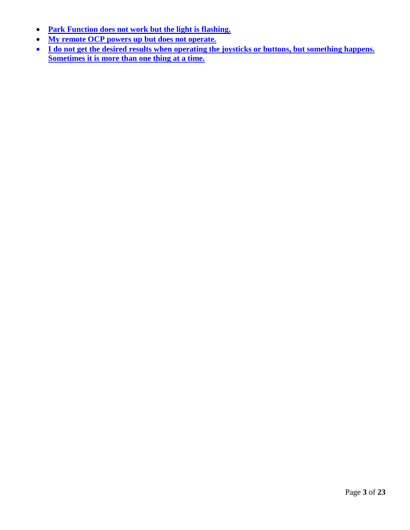- **[Park Function does not work but the light is flashing.](#page-19-1)**
- **[My remote OCP powers up but does not operate.](#page-20-1)**
- **I do not get the desired results when operating the joysticks or buttons, but something happens. [Sometimes it is more than one thing at a time.](#page-21-1)**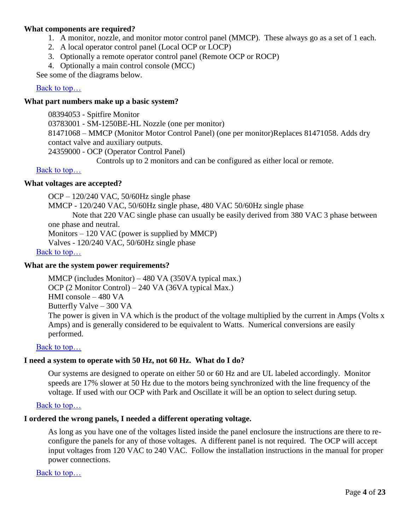# <span id="page-3-0"></span>**What components are required?**

- 1. A monitor, nozzle, and monitor motor control panel (MMCP). These always go as a set of 1 each.
- 2. A local operator control panel (Local OCP or LOCP)
- 3. Optionally a remote operator control panel (Remote OCP or ROCP)
- 4. Optionally a main control console (MCC)

See some of the diagrams below.

# Back to top...

# <span id="page-3-1"></span>**What part numbers make up a basic system?**

08394053 - Spitfire Monitor 03783001 - SM-1250BE-HL Nozzle (one per monitor) 81471068 – MMCP (Monitor Motor Control Panel) (one per monitor)Replaces 81471058. Adds dry contact valve and auxiliary outputs. 24359000 - OCP (Operator Control Panel)

Controls up to 2 monitors and can be configured as either local or remote.

# [Back to top…](#page-0-0)

# <span id="page-3-4"></span>**What voltages are accepted?**

OCP – 120/240 VAC, 50/60Hz single phase

MMCP - 120/240 VAC, 50/60Hz single phase, 480 VAC 50/60Hz single phase

Note that 220 VAC single phase can usually be easily derived from 380 VAC 3 phase between one phase and neutral.

Monitors – 120 VAC (power is supplied by MMCP)

Valves - 120/240 VAC, 50/60Hz single phase

[Back to top…](#page-0-0)

# <span id="page-3-5"></span>**What are the system power requirements?**

MMCP (includes Monitor) – 480 VA (350VA typical max.) OCP (2 Monitor Control) – 240 VA (36VA typical Max.) HMI console – 480 VA Butterfly Valve – 300 VA The power is given in VA which is the product of the voltage multiplied by the current in Amps (Volts x Amps) and is generally considered to be equivalent to Watts. Numerical conversions are easily performed.

# Back to top...

# <span id="page-3-2"></span>**I need a system to operate with 50 Hz, not 60 Hz. What do I do?**

Our systems are designed to operate on either 50 or 60 Hz and are UL labeled accordingly. Monitor speeds are 17% slower at 50 Hz due to the motors being synchronized with the line frequency of the voltage. If used with our OCP with Park and Oscillate it will be an option to select during setup.

# [Back to top…](#page-0-0)

# **I ordered the wrong panels, I needed a different operating voltage.**

<span id="page-3-3"></span>As long as you have one of the voltages listed inside the panel enclosure the instructions are there to reconfigure the panels for any of those voltages. A different panel is not required. The OCP will accept input voltages from 120 VAC to 240 VAC. Follow the installation instructions in the manual for proper power connections.

[Back to top…](#page-0-0)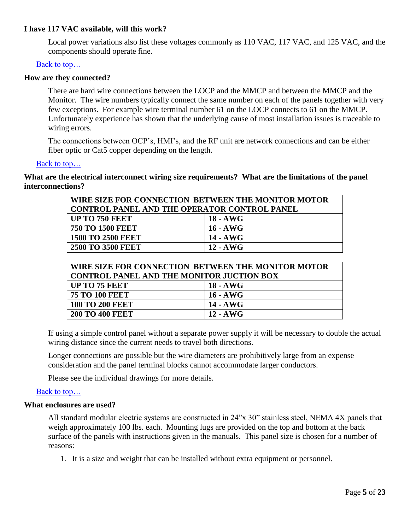# **I have 117 VAC available, will this work?**

Local power variations also list these voltages commonly as 110 VAC, 117 VAC, and 125 VAC, and the components should operate fine.

### [Back to top…](#page-0-0)

#### <span id="page-4-1"></span>**How are they connected?**

There are hard wire connections between the LOCP and the MMCP and between the MMCP and the Monitor. The wire numbers typically connect the same number on each of the panels together with very few exceptions. For example wire terminal number 61 on the LOCP connects to 61 on the MMCP. Unfortunately experience has shown that the underlying cause of most installation issues is traceable to wiring errors.

The connections between OCP's, HMI's, and the RF unit are network connections and can be either fiber optic or Cat5 copper depending on the length.

#### [Back to top…](#page-0-0)

<span id="page-4-2"></span>**What are the electrical interconnect wiring size requirements? What are the limitations of the panel interconnections?**

| WIRE SIZE FOR CONNECTION BETWEEN THE MONITOR MOTOR  |            |  |
|-----------------------------------------------------|------------|--|
| <b>CONTROL PANEL AND THE OPERATOR CONTROL PANEL</b> |            |  |
| <b>UP TO 750 FEET</b>                               | 18 - AWG   |  |
| <b>750 TO 1500 FEET</b>                             | 16 - AWG   |  |
| <b>1500 TO 2500 FEET</b>                            | 14 - AWG   |  |
| <b>2500 TO 3500 FEET</b>                            | $12 - AWG$ |  |

| WIRE SIZE FOR CONNECTION BETWEEN THE MONITOR MOTOR |            |  |
|----------------------------------------------------|------------|--|
| <b>CONTROL PANEL AND THE MONITOR JUCTION BOX</b>   |            |  |
| UP TO 75 FEET                                      | 18 - AWG   |  |
| <b>75 TO 100 FEET</b>                              | $16 - AWG$ |  |
| <b>100 TO 200 FEET</b>                             | 14 - AWG   |  |
| <b>200 TO 400 FEET</b>                             | 12 - AWG   |  |

If using a simple control panel without a separate power supply it will be necessary to double the actual wiring distance since the current needs to travel both directions.

Longer connections are possible but the wire diameters are prohibitively large from an expense consideration and the panel terminal blocks cannot accommodate larger conductors.

Please see the individual drawings for more details.

#### [Back to top…](#page-0-0)

#### <span id="page-4-0"></span>**What enclosures are used?**

All standard modular electric systems are constructed in 24"x 30" stainless steel, NEMA 4X panels that weigh approximately 100 lbs. each. Mounting lugs are provided on the top and bottom at the back surface of the panels with instructions given in the manuals. This panel size is chosen for a number of reasons:

1. It is a size and weight that can be installed without extra equipment or personnel.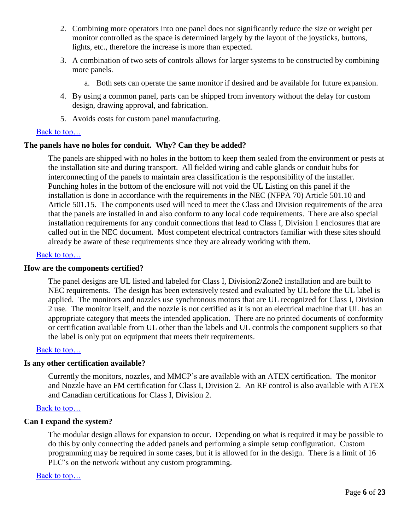- 2. Combining more operators into one panel does not significantly reduce the size or weight per monitor controlled as the space is determined largely by the layout of the joysticks, buttons, lights, etc., therefore the increase is more than expected.
- 3. A combination of two sets of controls allows for larger systems to be constructed by combining more panels.
	- a. Both sets can operate the same monitor if desired and be available for future expansion.
- 4. By using a common panel, parts can be shipped from inventory without the delay for custom design, drawing approval, and fabrication.
- <span id="page-5-3"></span>5. Avoids costs for custom panel manufacturing.

# [Back to top…](#page-0-0)

# **The panels have no holes for conduit. Why? Can they be added?**

The panels are shipped with no holes in the bottom to keep them sealed from the environment or pests at the installation site and during transport. All fielded wiring and cable glands or conduit hubs for interconnecting of the panels to maintain area classification is the responsibility of the installer. Punching holes in the bottom of the enclosure will not void the UL Listing on this panel if the installation is done in accordance with the requirements in the NEC (NFPA 70) Article 501.10 and Article 501.15. The components used will need to meet the Class and Division requirements of the area that the panels are installed in and also conform to any local code requirements. There are also special installation requirements for any conduit connections that lead to Class I, Division 1 enclosures that are called out in the NEC document. Most competent electrical contractors familiar with these sites should already be aware of these requirements since they are already working with them.

### Back to top...

#### <span id="page-5-1"></span>**How are the components certified?**

The panel designs are UL listed and labeled for Class I, Division2/Zone2 installation and are built to NEC requirements. The design has been extensively tested and evaluated by UL before the UL label is applied. The monitors and nozzles use synchronous motors that are UL recognized for Class I, Division 2 use. The monitor itself, and the nozzle is not certified as it is not an electrical machine that UL has an appropriate category that meets the intended application. There are no printed documents of conformity or certification available from UL other than the labels and UL controls the component suppliers so that the label is only put on equipment that meets their requirements.

# [Back to top…](#page-0-0)

#### <span id="page-5-2"></span>**Is any other certification available?**

Currently the monitors, nozzles, and MMCP's are available with an ATEX certification. The monitor and Nozzle have an FM certification for Class I, Division 2. An RF control is also available with ATEX and Canadian certifications for Class I, Division 2.

#### Back to top...

#### <span id="page-5-0"></span>**Can I expand the system?**

The modular design allows for expansion to occur. Depending on what is required it may be possible to do this by only connecting the added panels and performing a simple setup configuration. Custom programming may be required in some cases, but it is allowed for in the design. There is a limit of 16 PLC's on the network without any custom programming.

#### [Back to top…](#page-0-0)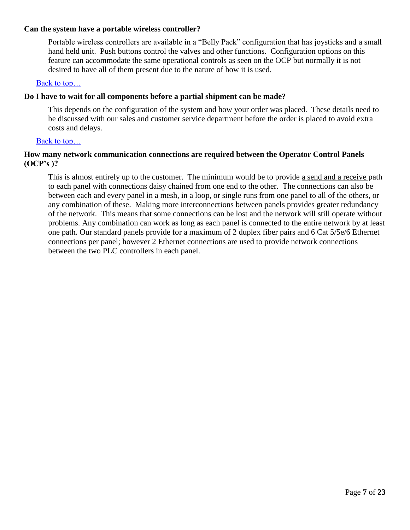# <span id="page-6-0"></span>**Can the system have a portable wireless controller?**

Portable wireless controllers are available in a "Belly Pack" configuration that has joysticks and a small hand held unit. Push buttons control the valves and other functions. Configuration options on this feature can accommodate the same operational controls as seen on the OCP but normally it is not desired to have all of them present due to the nature of how it is used.

# [Back to top…](#page-0-0)

# <span id="page-6-1"></span>**Do I have to wait for all components before a partial shipment can be made?**

This depends on the configuration of the system and how your order was placed. These details need to be discussed with our sales and customer service department before the order is placed to avoid extra costs and delays.

### [Back to top…](#page-0-0)

# <span id="page-6-2"></span>**How many network communication connections are required between the Operator Control Panels (OCP's )?**

This is almost entirely up to the customer. The minimum would be to provide a send and a receive path to each panel with connections daisy chained from one end to the other. The connections can also be between each and every panel in a mesh, in a loop, or single runs from one panel to all of the others, or any combination of these. Making more interconnections between panels provides greater redundancy of the network. This means that some connections can be lost and the network will still operate without problems. Any combination can work as long as each panel is connected to the entire network by at least one path. Our standard panels provide for a maximum of 2 duplex fiber pairs and 6 Cat 5/5e/6 Ethernet connections per panel; however 2 Ethernet connections are used to provide network connections between the two PLC controllers in each panel.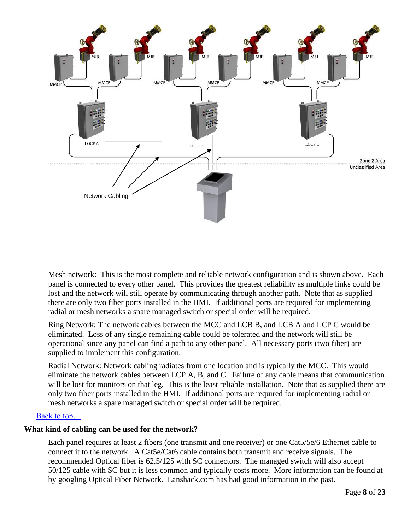

<span id="page-7-1"></span>Mesh network: This is the most complete and reliable network configuration and is shown above. Each panel is connected to every other panel. This provides the greatest reliability as multiple links could be lost and the network will still operate by communicating through another path. Note that as supplied there are only two fiber ports installed in the HMI. If additional ports are required for implementing radial or mesh networks a spare managed switch or special order will be required.

Ring Network: The network cables between the MCC and LCB B, and LCB A and LCP C would be eliminated. Loss of any single remaining cable could be tolerated and the network will still be operational since any panel can find a path to any other panel. All necessary ports (two fiber) are supplied to implement this configuration.

Radial Network: Network cabling radiates from one location and is typically the MCC. This would eliminate the network cables between LCP A, B, and C. Failure of any cable means that communication will be lost for monitors on that leg. This is the least reliable installation. Note that as supplied there are only two fiber ports installed in the HMI. If additional ports are required for implementing radial or mesh networks a spare managed switch or special order will be required.

# [Back to top…](#page-0-0)

# <span id="page-7-0"></span>**What kind of cabling can be used for the network?**

Each panel requires at least 2 fibers (one transmit and one receiver) or one Cat5/5e/6 Ethernet cable to connect it to the network. A Cat5e/Cat6 cable contains both transmit and receive signals. The recommended Optical fiber is 62.5/125 with SC connectors. The managed switch will also accept 50/125 cable with SC but it is less common and typically costs more. More information can be found at by googling Optical Fiber Network. Lanshack.com has had good information in the past.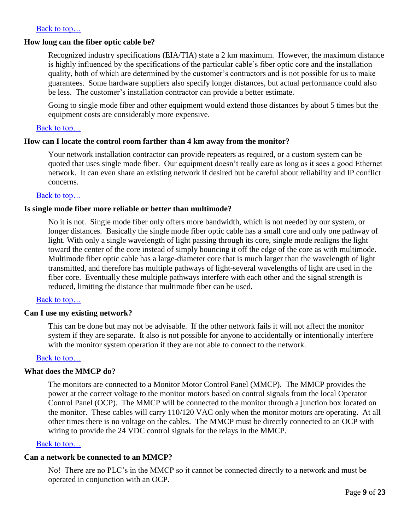# [Back to top…](#page-0-0)

#### <span id="page-8-4"></span>**How long can the fiber optic cable be?**

Recognized industry specifications (EIA/TIA) state a 2 km maximum. However, the maximum distance is highly influenced by the specifications of the particular cable's fiber optic core and the installation quality, both of which are determined by the customer's contractors and is not possible for us to make guarantees. Some hardware suppliers also specify longer distances, but actual performance could also be less. The customer's installation contractor can provide a better estimate.

Going to single mode fiber and other equipment would extend those distances by about 5 times but the equipment costs are considerably more expensive.

### Back to top...

### <span id="page-8-5"></span>**How can I locate the control room farther than 4 km away from the monitor?**

Your network installation contractor can provide repeaters as required, or a custom system can be quoted that uses single mode fiber. Our equipment doesn't really care as long as it sees a good Ethernet network. It can even share an existing network if desired but be careful about reliability and IP conflict concerns.

### [Back to top…](#page-0-0)

#### <span id="page-8-1"></span>**Is single mode fiber more reliable or better than multimode?**

No it is not. Single mode fiber only offers more bandwidth, which is not needed by our system, or longer distances. Basically the single mode fiber optic cable has a small core and only one pathway of light. With only a single wavelength of light passing through its core, single mode realigns the light toward the center of the core instead of simply bouncing it off the edge of the core as with multimode. Multimode fiber optic cable has a large-diameter core that is much larger than the wavelength of light transmitted, and therefore has multiple pathways of light-several wavelengths of light are used in the fiber core. Eventually these multiple pathways interfere with each other and the signal strength is reduced, limiting the distance that multimode fiber can be used.

#### [Back to top…](#page-0-0)

#### <span id="page-8-0"></span>**Can I use my existing network?**

This can be done but may not be advisable. If the other network fails it will not affect the monitor system if they are separate. It also is not possible for anyone to accidentally or intentionally interfere with the monitor system operation if they are not able to connect to the network.

#### [Back to top…](#page-0-0)

#### <span id="page-8-2"></span>**What does the MMCP do?**

The monitors are connected to a Monitor Motor Control Panel (MMCP). The MMCP provides the power at the correct voltage to the monitor motors based on control signals from the local Operator Control Panel (OCP). The MMCP will be connected to the monitor through a junction box located on the monitor. These cables will carry 110/120 VAC only when the monitor motors are operating. At all other times there is no voltage on the cables. The MMCP must be directly connected to an OCP with wiring to provide the 24 VDC control signals for the relays in the MMCP.

#### [Back to top…](#page-0-0)

# **Can a network be connected to an MMCP?**

<span id="page-8-3"></span>No! There are no PLC's in the MMCP so it cannot be connected directly to a network and must be operated in conjunction with an OCP.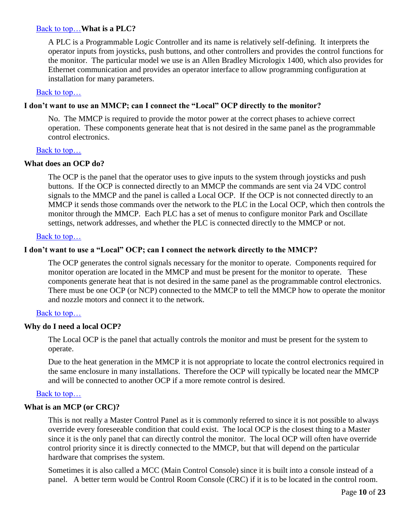# [Back to top…](#page-0-0)**What is a PLC?**

<span id="page-9-3"></span>A PLC is a Programmable Logic Controller and its name is relatively self-defining. It interprets the operator inputs from joysticks, push buttons, and other controllers and provides the control functions for the monitor. The particular model we use is an Allen Bradley Micrologix 1400, which also provides for Ethernet communication and provides an operator interface to allow programming configuration at installation for many parameters.

### Back to top...

# <span id="page-9-0"></span>**I don't want to use an MMCP; can I connect the "Local" OCP directly to the monitor?**

No. The MMCP is required to provide the motor power at the correct phases to achieve correct operation. These components generate heat that is not desired in the same panel as the programmable control electronics.

### Back to top...

# **What does an OCP do?**

<span id="page-9-4"></span>The OCP is the panel that the operator uses to give inputs to the system through joysticks and push buttons. If the OCP is connected directly to an MMCP the commands are sent via 24 VDC control signals to the MMCP and the panel is called a Local OCP. If the OCP is not connected directly to an MMCP it sends those commands over the network to the PLC in the Local OCP, which then controls the monitor through the MMCP. Each PLC has a set of menus to configure monitor Park and Oscillate settings, network addresses, and whether the PLC is connected directly to the MMCP or not.

### [Back to top…](#page-0-0)

# **I don't want to use a "Local" OCP; can I connect the network directly to the MMCP?**

The OCP generates the control signals necessary for the monitor to operate. Components required for monitor operation are located in the MMCP and must be present for the monitor to operate. These components generate heat that is not desired in the same panel as the programmable control electronics. There must be one OCP (or NCP) connected to the MMCP to tell the MMCP how to operate the monitor and nozzle motors and connect it to the network.

# [Back to top…](#page-0-0)

# <span id="page-9-1"></span>**Why do I need a local OCP?**

The Local OCP is the panel that actually controls the monitor and must be present for the system to operate.

Due to the heat generation in the MMCP it is not appropriate to locate the control electronics required in the same enclosure in many installations. Therefore the OCP will typically be located near the MMCP and will be connected to another OCP if a more remote control is desired.

# Back to top...

# **What is an MCP (or CRC)?**

<span id="page-9-2"></span>This is not really a Master Control Panel as it is commonly referred to since it is not possible to always override every foreseeable condition that could exist. The local OCP is the closest thing to a Master since it is the only panel that can directly control the monitor. The local OCP will often have override control priority since it is directly connected to the MMCP, but that will depend on the particular hardware that comprises the system.

Sometimes it is also called a MCC (Main Control Console) since it is built into a console instead of a panel. A better term would be Control Room Console (CRC) if it is to be located in the control room.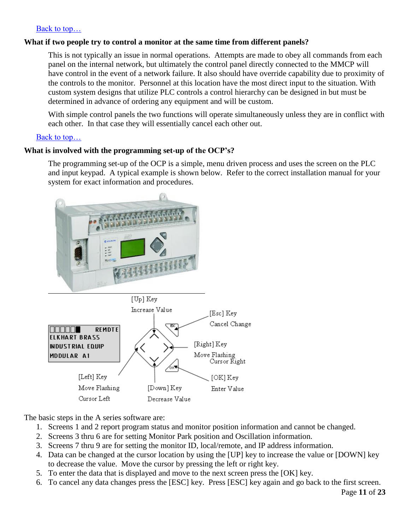# [Back to top…](#page-0-0)

# <span id="page-10-1"></span>**What if two people try to control a monitor at the same time from different panels?**

This is not typically an issue in normal operations. Attempts are made to obey all commands from each panel on the internal network, but ultimately the control panel directly connected to the MMCP will have control in the event of a network failure. It also should have override capability due to proximity of the controls to the monitor. Personnel at this location have the most direct input to the situation. With custom system designs that utilize PLC controls a control hierarchy can be designed in but must be determined in advance of ordering any equipment and will be custom.

With simple control panels the two functions will operate simultaneously unless they are in conflict with each other. In that case they will essentially cancel each other out.

# [Back to top…](#page-0-0)

# <span id="page-10-0"></span>**What is involved with the programming set-up of the OCP's?**

The programming set-up of the OCP is a simple, menu driven process and uses the screen on the PLC and input keypad. A typical example is shown below. Refer to the correct installation manual for your system for exact information and procedures.



The basic steps in the A series software are:

- 1. Screens 1 and 2 report program status and monitor position information and cannot be changed.
- 2. Screens 3 thru 6 are for setting Monitor Park position and Oscillation information.
- 3. Screens 7 thru 9 are for setting the monitor ID, local/remote, and IP address information.
- 4. Data can be changed at the cursor location by using the [UP] key to increase the value or [DOWN] key to decrease the value. Move the cursor by pressing the left or right key.
- 5. To enter the data that is displayed and move to the next screen press the [OK] key.
- 6. To cancel any data changes press the [ESC] key. Press [ESC] key again and go back to the first screen.

Page **11** of **23**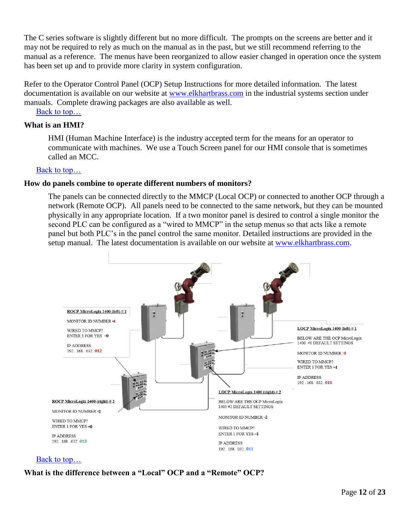The C series software is slightly different but no more difficult. The prompts on the screens are better and it may not be required to rely as much on the manual as in the past, but we still recommend referring to the manual as a reference. The menus have been reorganized to allow easier changed in operation once the system has been set up and to provide more clarity in system configuration.

Refer to the Operator Control Panel (OCP) Setup Instructions for more detailed information. The latest documentation is available on our website at [www.elkhartbrass.com](http://www.elkhartbrass.com/) in the industrial systems section under manuals. Complete drawing packages are also available as well.

[Back to top…](#page-0-0)

# <span id="page-11-2"></span>**What is an HMI?**

HMI (Human Machine Interface) is the industry accepted term for the means for an operator to communicate with machines. We use a Touch Screen panel for our HMI console that is sometimes called an MCC.

### [Back to top…](#page-0-0)

#### **How do panels combine to operate different numbers of monitors?**

<span id="page-11-0"></span>The panels can be connected directly to the MMCP (Local OCP) or connected to another OCP through a network (Remote OCP). All panels need to be connected to the same network, but they can be mounted physically in any appropriate location. If a two monitor panel is desired to control a single monitor the second PLC can be configured as a "wired to MMCP" in the setup menus so that acts like a remote panel but both PLC's in the panel control the same monitor. Detailed instructions are provided in the setup manual. The latest documentation is available on our website at [www.elkhartbrass.com.](http://www.elkhartbrass.com/)



# [Back to top…](#page-0-0)

# <span id="page-11-1"></span>**What is the difference between a "Local" OCP and a "Remote" OCP?**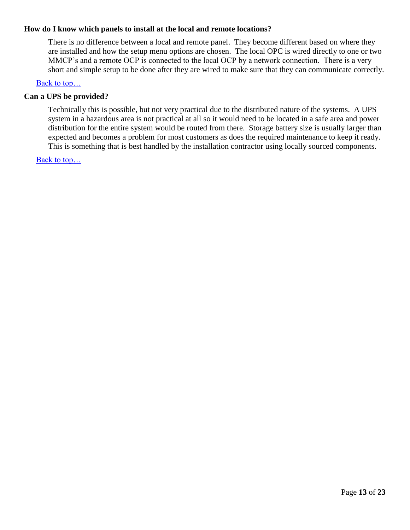# **How do I know which panels to install at the local and remote locations?**

There is no difference between a local and remote panel. They become different based on where they are installed and how the setup menu options are chosen. The local OPC is wired directly to one or two MMCP's and a remote OCP is connected to the local OCP by a network connection. There is a very short and simple setup to be done after they are wired to make sure that they can communicate correctly.

# [Back to top…](#page-0-0)

### <span id="page-12-0"></span>**Can a UPS be provided?**

Technically this is possible, but not very practical due to the distributed nature of the systems. A UPS system in a hazardous area is not practical at all so it would need to be located in a safe area and power distribution for the entire system would be routed from there. Storage battery size is usually larger than expected and becomes a problem for most customers as does the required maintenance to keep it ready. This is something that is best handled by the installation contractor using locally sourced components.

<span id="page-12-1"></span>[Back to top…](#page-0-0)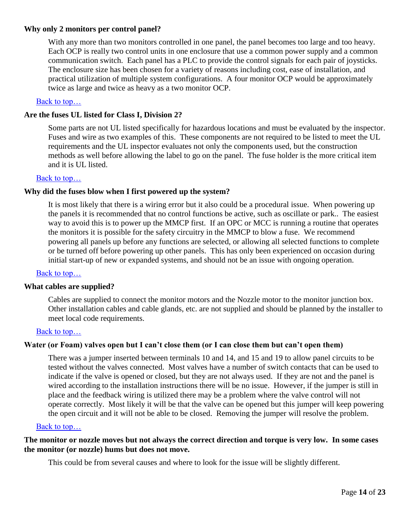# **Why only 2 monitors per control panel?**

With any more than two monitors controlled in one panel, the panel becomes too large and too heavy. Each OCP is really two control units in one enclosure that use a common power supply and a common communication switch. Each panel has a PLC to provide the control signals for each pair of joysticks. The enclosure size has been chosen for a variety of reasons including cost, ease of installation, and practical utilization of multiple system configurations. A four monitor OCP would be approximately twice as large and twice as heavy as a two monitor OCP.

# [Back to top…](#page-0-0)

# <span id="page-13-0"></span>**Are the fuses UL listed for Class I, Division 2?**

Some parts are not UL listed specifically for hazardous locations and must be evaluated by the inspector. Fuses and wire as two examples of this. These components are not required to be listed to meet the UL requirements and the UL inspector evaluates not only the components used, but the construction methods as well before allowing the label to go on the panel. The fuse holder is the more critical item and it is UL listed.

### [Back to top…](#page-0-0)

# <span id="page-13-1"></span>**Why did the fuses blow when I first powered up the system?**

It is most likely that there is a wiring error but it also could be a procedural issue. When powering up the panels it is recommended that no control functions be active, such as oscillate or park.. The easiest way to avoid this is to power up the MMCP first. If an OPC or MCC is running a routine that operates the monitors it is possible for the safety circuitry in the MMCP to blow a fuse. We recommend powering all panels up before any functions are selected, or allowing all selected functions to complete or be turned off before powering up other panels. This has only been experienced on occasion during initial start-up of new or expanded systems, and should not be an issue with ongoing operation.

#### [Back to top…](#page-0-0)

#### **What cables are supplied?**

<span id="page-13-4"></span>Cables are supplied to connect the monitor motors and the Nozzle motor to the monitor junction box. Other installation cables and cable glands, etc. are not supplied and should be planned by the installer to meet local code requirements.

#### [Back to top…](#page-0-0)

# <span id="page-13-2"></span>**Water (or Foam) valves open but I can't close them (or I can close them but can't open them)**

There was a jumper inserted between terminals 10 and 14, and 15 and 19 to allow panel circuits to be tested without the valves connected. Most valves have a number of switch contacts that can be used to indicate if the valve is opened or closed, but they are not always used. If they are not and the panel is wired according to the installation instructions there will be no issue. However, if the jumper is still in place and the feedback wiring is utilized there may be a problem where the valve control will not operate correctly. Most likely it will be that the valve can be opened but this jumper will keep powering the open circuit and it will not be able to be closed. Removing the jumper will resolve the problem.

#### [Back to top…](#page-0-0)

# <span id="page-13-3"></span>**The monitor or nozzle moves but not always the correct direction and torque is very low. In some cases the monitor (or nozzle) hums but does not move.**

This could be from several causes and where to look for the issue will be slightly different.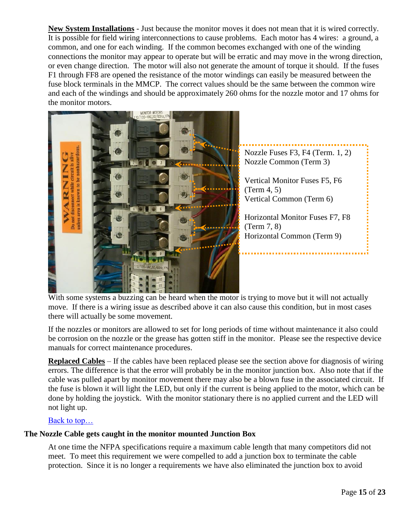**New System Installations** - Just because the monitor moves it does not mean that it is wired correctly. It is possible for field wiring interconnections to cause problems. Each motor has 4 wires: a ground, a common, and one for each winding. If the common becomes exchanged with one of the winding connections the monitor may appear to operate but will be erratic and may move in the wrong direction, or even change direction. The motor will also not generate the amount of torque it should. If the fuses F1 through FF8 are opened the resistance of the motor windings can easily be measured between the fuse block terminals in the MMCP. The correct values should be the same between the common wire and each of the windings and should be approximately 260 ohms for the nozzle motor and 17 ohms for the monitor motors.



With some systems a buzzing can be heard when the motor is trying to move but it will not actually move. If there is a wiring issue as described above it can also cause this condition, but in most cases there will actually be some movement.

If the nozzles or monitors are allowed to set for long periods of time without maintenance it also could be corrosion on the nozzle or the grease has gotten stiff in the monitor. Please see the respective device manuals for correct maintenance procedures.

**Replaced Cables** – If the cables have been replaced please see the section above for diagnosis of wiring errors. The difference is that the error will probably be in the monitor junction box. Also note that if the cable was pulled apart by monitor movement there may also be a blown fuse in the associated circuit. If the fuse is blown it will light the LED, but only if the current is being applied to the motor, which can be done by holding the joystick. With the monitor stationary there is no applied current and the LED will not light up.

# [Back to top…](#page-0-0)

# <span id="page-14-0"></span>**The Nozzle Cable gets caught in the monitor mounted Junction Box**

At one time the NFPA specifications require a maximum cable length that many competitors did not meet. To meet this requirement we were compelled to add a junction box to terminate the cable protection. Since it is no longer a requirements we have also eliminated the junction box to avoid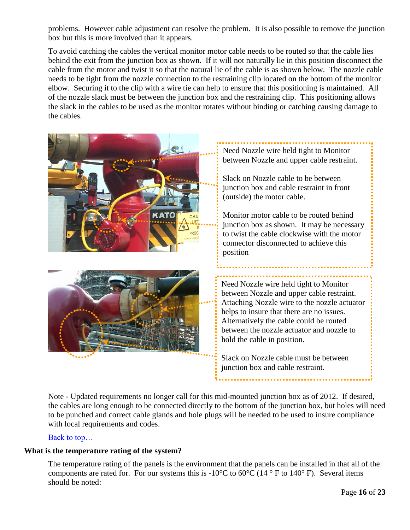problems. However cable adjustment can resolve the problem. It is also possible to remove the junction box but this is more involved than it appears.

To avoid catching the cables the vertical monitor motor cable needs to be routed so that the cable lies behind the exit from the junction box as shown. If it will not naturally lie in this position disconnect the cable from the motor and twist it so that the natural lie of the cable is as shown below. The nozzle cable needs to be tight from the nozzle connection to the restraining clip located on the bottom of the monitor elbow. Securing it to the clip with a wire tie can help to ensure that this positioning is maintained. All of the nozzle slack must be between the junction box and the restraining clip. This positioning allows the slack in the cables to be used as the monitor rotates without binding or catching causing damage to the cables.



Note - Updated requirements no longer call for this mid-mounted junction box as of 2012. If desired, the cables are long enough to be connected directly to the bottom of the junction box, but holes will need to be punched and correct cable glands and hole plugs will be needed to be used to insure compliance with local requirements and codes.

# Back to top...

# <span id="page-15-0"></span>**What is the temperature rating of the system?**

The temperature rating of the panels is the environment that the panels can be installed in that all of the components are rated for. For our systems this is  $-10^{\circ}$ C to  $60^{\circ}$ C (14  $^{\circ}$  F to 140 $^{\circ}$  F). Several items should be noted: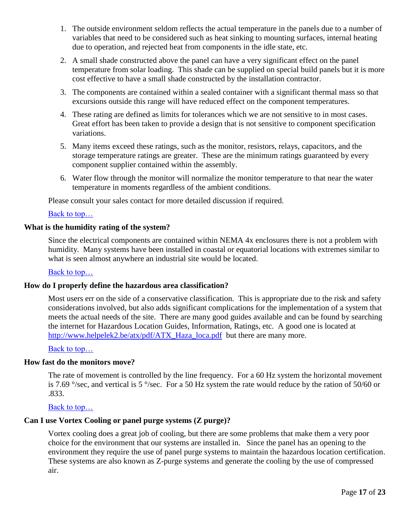- 1. The outside environment seldom reflects the actual temperature in the panels due to a number of variables that need to be considered such as heat sinking to mounting surfaces, internal heating due to operation, and rejected heat from components in the idle state, etc.
- 2. A small shade constructed above the panel can have a very significant effect on the panel temperature from solar loading. This shade can be supplied on special build panels but it is more cost effective to have a small shade constructed by the installation contractor.
- 3. The components are contained within a sealed container with a significant thermal mass so that excursions outside this range will have reduced effect on the component temperatures.
- 4. These rating are defined as limits for tolerances which we are not sensitive to in most cases. Great effort has been taken to provide a design that is not sensitive to component specification variations.
- 5. Many items exceed these ratings, such as the monitor, resistors, relays, capacitors, and the storage temperature ratings are greater. These are the minimum ratings guaranteed by every component supplier contained within the assembly.
- 6. Water flow through the monitor will normalize the monitor temperature to that near the water temperature in moments regardless of the ambient conditions.

Please consult your sales contact for more detailed discussion if required.

# [Back to top…](#page-0-0)

# <span id="page-16-0"></span>**What is the humidity rating of the system?**

Since the electrical components are contained within NEMA 4x enclosures there is not a problem with humidity. Many systems have been installed in coastal or equatorial locations with extremes similar to what is seen almost anywhere an industrial site would be located.

# [Back to top…](#page-0-0)

# <span id="page-16-2"></span>**How do I properly define the hazardous area classification?**

Most users err on the side of a conservative classification. This is appropriate due to the risk and safety considerations involved, but also adds significant complications for the implementation of a system that meets the actual needs of the site. There are many good guides available and can be found by searching the internet for Hazardous Location Guides, Information, Ratings, etc. A good one is located at [http://www.helpelek2.be/atx/pdf/ATX\\_Haza\\_loca.pdf](http://www.helpelek2.be/atx/pdf/ATX_Haza_loca.pdf) but there are many more.

# [Back to top…](#page-0-0)

#### <span id="page-16-1"></span>**How fast do the monitors move?**

The rate of movement is controlled by the line frequency. For a 60 Hz system the horizontal movement is 7.69 °/sec, and vertical is 5 °/sec. For a 50 Hz system the rate would reduce by the ration of 50/60 or .833.

[Back to top…](#page-0-0)

# **Can I use Vortex Cooling or panel purge systems (Z purge)?**

Vortex cooling does a great job of cooling, but there are some problems that make them a very poor choice for the environment that our systems are installed in. Since the panel has an opening to the environment they require the use of panel purge systems to maintain the hazardous location certification. These systems are also known as Z-purge systems and generate the cooling by the use of compressed air.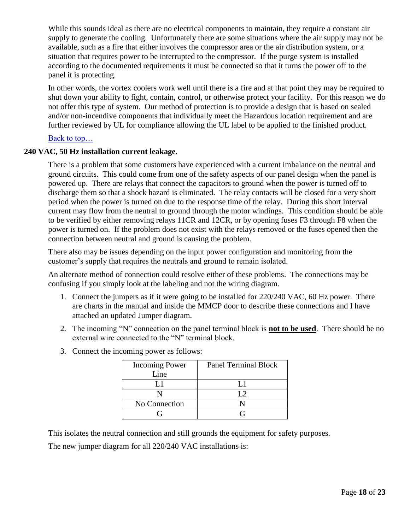While this sounds ideal as there are no electrical components to maintain, they require a constant air supply to generate the cooling. Unfortunately there are some situations where the air supply may not be available, such as a fire that either involves the compressor area or the air distribution system, or a situation that requires power to be interrupted to the compressor. If the purge system is installed according to the documented requirements it must be connected so that it turns the power off to the panel it is protecting.

In other words, the vortex coolers work well until there is a fire and at that point they may be required to shut down your ability to fight, contain, control, or otherwise protect your facility. For this reason we do not offer this type of system. Our method of protection is to provide a design that is based on sealed and/or non-incendive components that individually meet the Hazardous location requirement and are further reviewed by UL for compliance allowing the UL label to be applied to the finished product.

# [Back to top…](#page-0-0)

# <span id="page-17-0"></span>**240 VAC, 50 Hz installation current leakage.**

There is a problem that some customers have experienced with a current imbalance on the neutral and ground circuits. This could come from one of the safety aspects of our panel design when the panel is powered up. There are relays that connect the capacitors to ground when the power is turned off to discharge them so that a shock hazard is eliminated. The relay contacts will be closed for a very short period when the power is turned on due to the response time of the relay. During this short interval current may flow from the neutral to ground through the motor windings. This condition should be able to be verified by either removing relays 11CR and 12CR, or by opening fuses F3 through F8 when the power is turned on. If the problem does not exist with the relays removed or the fuses opened then the connection between neutral and ground is causing the problem.

There also may be issues depending on the input power configuration and monitoring from the customer's supply that requires the neutrals and ground to remain isolated.

An alternate method of connection could resolve either of these problems. The connections may be confusing if you simply look at the labeling and not the wiring diagram.

- 1. Connect the jumpers as if it were going to be installed for 220/240 VAC, 60 Hz power. There are charts in the manual and inside the MMCP door to describe these connections and I have attached an updated Jumper diagram.
- 2. The incoming "N" connection on the panel terminal block is **not to be used**. There should be no external wire connected to the "N" terminal block.
- 3. Connect the incoming power as follows:

| <b>Incoming Power</b> | <b>Panel Terminal Block</b> |
|-----------------------|-----------------------------|
| Line                  |                             |
|                       |                             |
|                       | $\mathsf{L}$                |
| No Connection         |                             |
|                       |                             |

This isolates the neutral connection and still grounds the equipment for safety purposes.

The new jumper diagram for all 220/240 VAC installations is: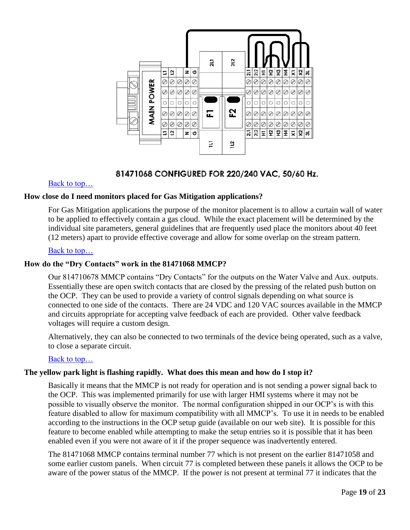

# 81471068 CONFIGURED FOR 220/240 VAC, 50/60 Hz.

# [Back to top…](#page-0-0)

# <span id="page-18-0"></span>**How close do I need monitors placed for Gas Mitigation applications?**

For Gas Mitigation applications the purpose of the monitor placement is to allow a curtain wall of water to be applied to effectively contain a gas cloud. While the exact placement will be determined by the individual site parameters, general guidelines that are frequently used place the monitors about 40 feet (12 meters) apart to provide effective coverage and allow for some overlap on the stream pattern.

# [Back to top…](#page-0-0)

# **How do the "Dry Contacts" work in the 81471068 MMCP?**

Our 814710678 MMCP contains "Dry Contacts" for the outputs on the Water Valve and Aux. outputs. Essentially these are open switch contacts that are closed by the pressing of the related push button on the OCP. They can be used to provide a variety of control signals depending on what source is connected to one side of the contacts. There are 24 VDC and 120 VAC sources available in the MMCP and circuits appropriate for accepting valve feedback of each are provided. Other valve feedback voltages will require a custom design.

Alternatively, they can also be connected to two terminals of the device being operated, such as a valve, to close a separate circuit.

# [Back to top…](#page-0-0)

# <span id="page-18-1"></span>**The yellow park light is flashing rapidly. What does this mean and how do I stop it?**

Basically it means that the MMCP is not ready for operation and is not sending a power signal back to the OCP. This was implemented primarily for use with larger HMI systems where it may not be possible to visually observe the monitor. The normal configuration shipped in our OCP's is with this feature disabled to allow for maximum compatibility with all MMCP's. To use it in needs to be enabled according to the instructions in the OCP setup guide (available on our web site). It is possible for this feature to become enabled while attempting to make the setup entries so it is possible that it has been enabled even if you were not aware of it if the proper sequence was inadvertently entered.

The 81471068 MMCP contains terminal number 77 which is not present on the earlier 81471058 and some earlier custom panels. When circuit 77 is completed between these panels it allows the OCP to be aware of the power status of the MMCP. If the power is not present at terminal 77 it indicates that the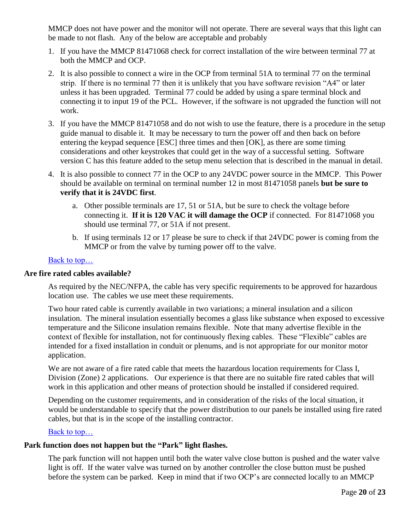MMCP does not have power and the monitor will not operate. There are several ways that this light can be made to not flash. Any of the below are acceptable and probably

- 1. If you have the MMCP 81471068 check for correct installation of the wire between terminal 77 at both the MMCP and OCP.
- 2. It is also possible to connect a wire in the OCP from terminal 51A to terminal 77 on the terminal strip. If there is no terminal 77 then it is unlikely that you have software revision "A4" or later unless it has been upgraded. Terminal 77 could be added by using a spare terminal block and connecting it to input 19 of the PCL. However, if the software is not upgraded the function will not work.
- 3. If you have the MMCP 81471058 and do not wish to use the feature, there is a procedure in the setup guide manual to disable it. It may be necessary to turn the power off and then back on before entering the keypad sequence [ESC] three times and then [OK], as there are some timing considerations and other keystrokes that could get in the way of a successful setting. Software version C has this feature added to the setup menu selection that is described in the manual in detail.
- 4. It is also possible to connect 77 in the OCP to any 24VDC power source in the MMCP. This Power should be available on terminal on terminal number 12 in most 81471058 panels **but be sure to verify that it is 24VDC first**.
	- a. Other possible terminals are 17, 51 or 51A, but be sure to check the voltage before connecting it. **If it is 120 VAC it will damage the OCP** if connected. For 81471068 you should use terminal 77, or 51A if not present.
	- b. If using terminals 12 or 17 please be sure to check if that 24VDC power is coming from the MMCP or from the valve by turning power off to the valve.

# [Back to top…](#page-0-0)

# <span id="page-19-0"></span>**Are fire rated cables available?**

As required by the NEC/NFPA, the cable has very specific requirements to be approved for hazardous location use. The cables we use meet these requirements.

Two hour rated cable is currently available in two variations; a mineral insulation and a silicon insulation. The mineral insulation essentially becomes a glass like substance when exposed to excessive temperature and the Silicone insulation remains flexible. Note that many advertise flexible in the context of flexible for installation, not for continuously flexing cables. These "Flexible" cables are intended for a fixed installation in conduit or plenums, and is not appropriate for our monitor motor application.

We are not aware of a fire rated cable that meets the hazardous location requirements for Class I, Division (Zone) 2 applications. Our experience is that there are no suitable fire rated cables that will work in this application and other means of protection should be installed if considered required.

Depending on the customer requirements, and in consideration of the risks of the local situation, it would be understandable to specify that the power distribution to our panels be installed using fire rated cables, but that is in the scope of the installing contractor.

# [Back to top…](#page-0-0)

# <span id="page-19-1"></span>**Park function does not happen but the "Park" light flashes.**

The park function will not happen until both the water valve close button is pushed and the water valve light is off. If the water valve was turned on by another controller the close button must be pushed before the system can be parked. Keep in mind that if two OCP's are connected locally to an MMCP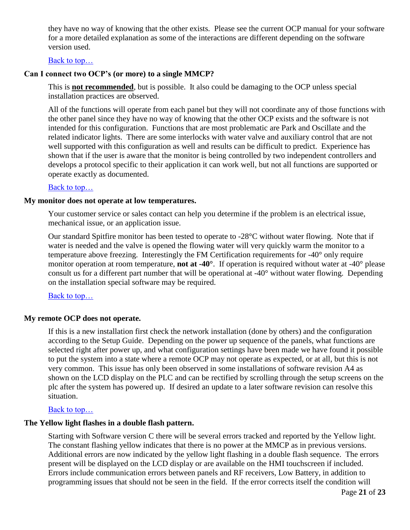they have no way of knowing that the other exists. Please see the current OCP manual for your software for a more detailed explanation as some of the interactions are different depending on the software version used.

### Back to top...

### <span id="page-20-0"></span>**Can I connect two OCP's (or more) to a single MMCP?**

This is **not recommended**, but is possible. It also could be damaging to the OCP unless special installation practices are observed.

All of the functions will operate from each panel but they will not coordinate any of those functions with the other panel since they have no way of knowing that the other OCP exists and the software is not intended for this configuration. Functions that are most problematic are Park and Oscillate and the related indicator lights. There are some interlocks with water valve and auxiliary control that are not well supported with this configuration as well and results can be difficult to predict. Experience has shown that if the user is aware that the monitor is being controlled by two independent controllers and develops a protocol specific to their application it can work well, but not all functions are supported or operate exactly as documented.

#### [Back to top…](#page-0-0)

### **My monitor does not operate at low temperatures.**

Your customer service or sales contact can help you determine if the problem is an electrical issue, mechanical issue, or an application issue.

Our standard Spitfire monitor has been tested to operate to -28°C without water flowing. Note that if water is needed and the valve is opened the flowing water will very quickly warm the monitor to a temperature above freezing. Interestingly the FM Certification requirements for -40° only require monitor operation at room temperature, **not at -40°**. If operation is required without water at -40° please consult us for a different part number that will be operational at -40° without water flowing. Depending on the installation special software may be required.

[Back to top…](#page-0-0)

#### <span id="page-20-1"></span>**My remote OCP does not operate.**

If this is a new installation first check the network installation (done by others) and the configuration according to the Setup Guide. Depending on the power up sequence of the panels, what functions are selected right after power up, and what configuration settings have been made we have found it possible to put the system into a state where a remote OCP may not operate as expected, or at all, but this is not very common. This issue has only been observed in some installations of software revision A4 as shown on the LCD display on the PLC and can be rectified by scrolling through the setup screens on the plc after the system has powered up. If desired an update to a later software revision can resolve this situation.

#### [Back to top…](#page-0-0)

#### **The Yellow light flashes in a double flash pattern.**

Starting with Software version C there will be several errors tracked and reported by the Yellow light. The constant flashing yellow indicates that there is no power at the MMCP as in previous versions. Additional errors are now indicated by the yellow light flashing in a double flash sequence. The errors present will be displayed on the LCD display or are available on the HMI touchscreen if included. Errors include communication errors between panels and RF receivers, Low Battery, in addition to programming issues that should not be seen in the field. If the error corrects itself the condition will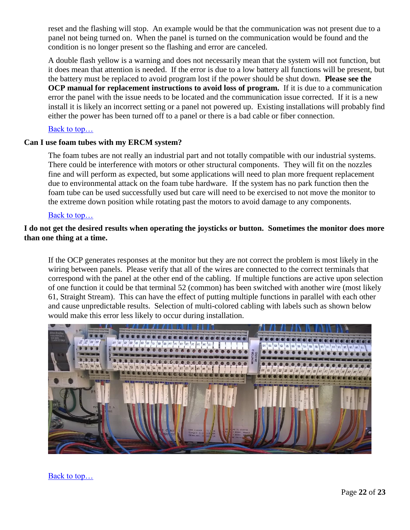reset and the flashing will stop. An example would be that the communication was not present due to a panel not being turned on. When the panel is turned on the communication would be found and the condition is no longer present so the flashing and error are canceled.

A double flash yellow is a warning and does not necessarily mean that the system will not function, but it does mean that attention is needed. If the error is due to a low battery all functions will be present, but the battery must be replaced to avoid program lost if the power should be shut down. **Please see the OCP manual for replacement instructions to avoid loss of program.** If it is due to a communication error the panel with the issue needs to be located and the communication issue corrected. If it is a new install it is likely an incorrect setting or a panel not powered up. Existing installations will probably find either the power has been turned off to a panel or there is a bad cable or fiber connection.

# [Back to top…](#page-0-0)

# <span id="page-21-0"></span>**Can I use foam tubes with my ERCM system?**

The foam tubes are not really an industrial part and not totally compatible with our industrial systems. There could be interference with motors or other structural components. They will fit on the nozzles fine and will perform as expected, but some applications will need to plan more frequent replacement due to environmental attack on the foam tube hardware. If the system has no park function then the foam tube can be used successfully used but care will need to be exercised to not move the monitor to the extreme down position while rotating past the motors to avoid damage to any components.

# [Back to top…](#page-0-0)

# <span id="page-21-1"></span>**I do not get the desired results when operating the joysticks or button. Sometimes the monitor does more than one thing at a time.**

If the OCP generates responses at the monitor but they are not correct the problem is most likely in the wiring between panels. Please verify that all of the wires are connected to the correct terminals that correspond with the panel at the other end of the cabling. If multiple functions are active upon selection of one function it could be that terminal 52 (common) has been switched with another wire (most likely 61, Straight Stream). This can have the effect of putting multiple functions in parallel with each other and cause unpredictable results. Selection of multi-colored cabling with labels such as shown below would make this error less likely to occur during installation.